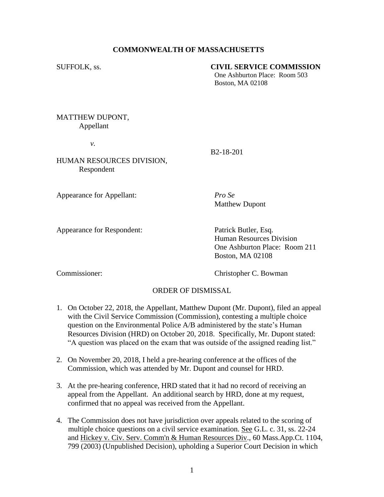## **COMMONWEALTH OF MASSACHUSETTS**

## SUFFOLK, ss. **CIVIL SERVICE COMMISSION**

One Ashburton Place: Room 503 Boston, MA 02108

MATTHEW DUPONT, Appellant

*v.*

B2-18-201

HUMAN RESOURCES DIVISION, Respondent

Appearance for Appellant: *Pro Se*

Matthew Dupont

Appearance for Respondent: Patrick Butler, Esq.

Human Resources Division One Ashburton Place: Room 211 Boston, MA 02108

Commissioner: Christopher C. Bowman

## ORDER OF DISMISSAL

- 1. On October 22, 2018, the Appellant, Matthew Dupont (Mr. Dupont), filed an appeal with the Civil Service Commission (Commission), contesting a multiple choice question on the Environmental Police A/B administered by the state's Human Resources Division (HRD) on October 20, 2018. Specifically, Mr. Dupont stated: "A question was placed on the exam that was outside of the assigned reading list."
- 2. On November 20, 2018, I held a pre-hearing conference at the offices of the Commission, which was attended by Mr. Dupont and counsel for HRD.
- 3. At the pre-hearing conference, HRD stated that it had no record of receiving an appeal from the Appellant. An additional search by HRD, done at my request, confirmed that no appeal was received from the Appellant.
- 4. The Commission does not have jurisdiction over appeals related to the scoring of [m](http://sll.gvpi.net/document.php?id=csc:csc18c-16&type=hitlist&num=1#hit3)ultiple choic[e](http://sll.gvpi.net/document.php?id=csc:csc18c-16&type=hitlist&num=1#hit6) questions on a civil service examination. See G.L. c. 31, ss. 22-24 and Hickey v. Civ. Serv. Comm'n & Human Resources Div., 60 Mass.App.Ct. 1104, 799 (2003) (Unpublished Decision), upholding a Superior Court Decision in which